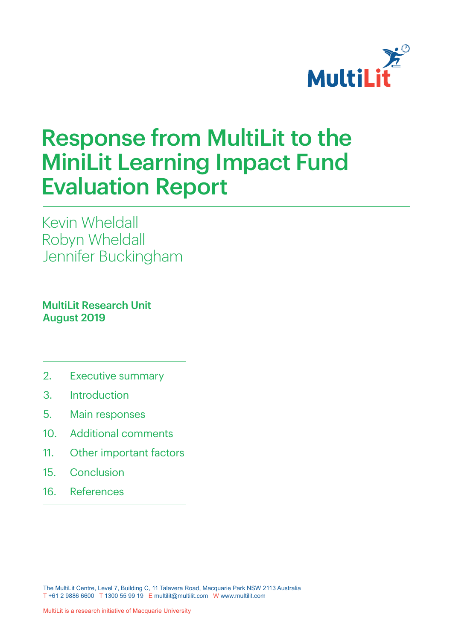

# Response from MultiLit to the MiniLit Learning Impact Fund Evaluation Report

Kevin Wheldall Robyn Wheldall Jennifer Buckingham

**MultiLit Research Unit** August 2019

- 2. Executive summary
- 3. Introduction
- 5. Main responses
- 10. Additional comments
- 11. Other important factors
- 15. Conclusion
- 16. References

The MultiLit Centre, Level 7, Building C, 11 Talavera Road, Macquarie Park NSW 2113 Australia T +61 2 9886 6600 T 1300 55 99 19 E multilit@multilit.com W www.multilit.com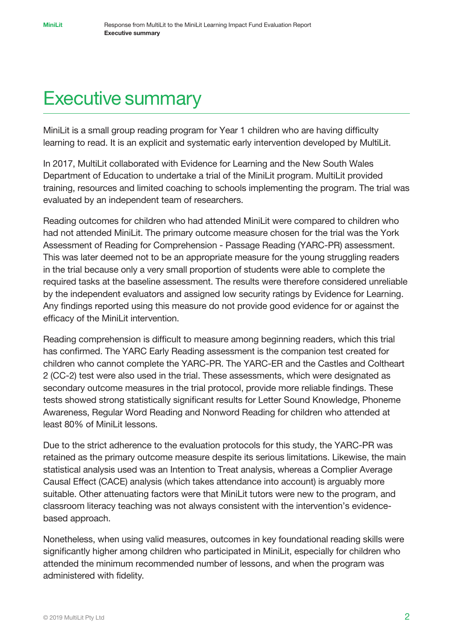# Executive summary

MiniLit is a small group reading program for Year 1 children who are having difficulty learning to read. It is an explicit and systematic early intervention developed by MultiLit.

In 2017, MultiLit collaborated with Evidence for Learning and the New South Wales Department of Education to undertake a trial of the MiniLit program. MultiLit provided training, resources and limited coaching to schools implementing the program. The trial was evaluated by an independent team of researchers.

Reading outcomes for children who had attended MiniLit were compared to children who had not attended MiniLit. The primary outcome measure chosen for the trial was the York Assessment of Reading for Comprehension - Passage Reading (YARC-PR) assessment. This was later deemed not to be an appropriate measure for the young struggling readers in the trial because only a very small proportion of students were able to complete the required tasks at the baseline assessment. The results were therefore considered unreliable by the independent evaluators and assigned low security ratings by Evidence for Learning. Any findings reported using this measure do not provide good evidence for or against the efficacy of the MiniLit intervention.

Reading comprehension is difficult to measure among beginning readers, which this trial has confirmed. The YARC Early Reading assessment is the companion test created for children who cannot complete the YARC-PR. The YARC-ER and the Castles and Coltheart 2 (CC-2) test were also used in the trial. These assessments, which were designated as secondary outcome measures in the trial protocol, provide more reliable findings. These tests showed strong statistically significant results for Letter Sound Knowledge, Phoneme Awareness, Regular Word Reading and Nonword Reading for children who attended at least 80% of MiniLit lessons.

Due to the strict adherence to the evaluation protocols for this study, the YARC-PR was retained as the primary outcome measure despite its serious limitations. Likewise, the main statistical analysis used was an Intention to Treat analysis, whereas a Complier Average Causal Effect (CACE) analysis (which takes attendance into account) is arguably more suitable. Other attenuating factors were that MiniLit tutors were new to the program, and classroom literacy teaching was not always consistent with the intervention's evidencebased approach.

Nonetheless, when using valid measures, outcomes in key foundational reading skills were significantly higher among children who participated in MiniLit, especially for children who attended the minimum recommended number of lessons, and when the program was administered with fidelity.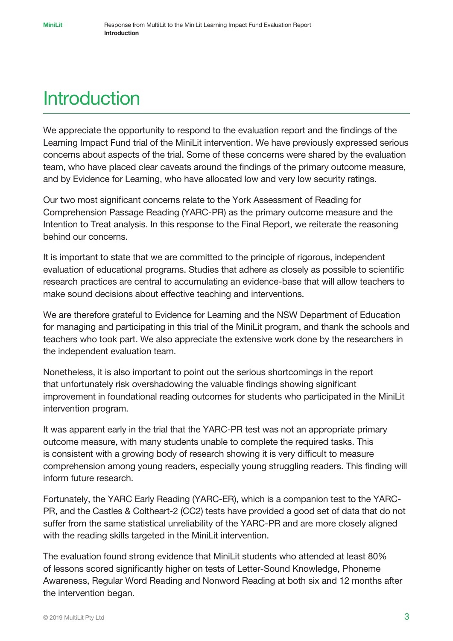# **Introduction**

We appreciate the opportunity to respond to the evaluation report and the findings of the Learning Impact Fund trial of the MiniLit intervention. We have previously expressed serious concerns about aspects of the trial. Some of these concerns were shared by the evaluation team, who have placed clear caveats around the findings of the primary outcome measure, and by Evidence for Learning, who have allocated low and very low security ratings.

Our two most significant concerns relate to the York Assessment of Reading for Comprehension Passage Reading (YARC-PR) as the primary outcome measure and the Intention to Treat analysis. In this response to the Final Report, we reiterate the reasoning behind our concerns.

It is important to state that we are committed to the principle of rigorous, independent evaluation of educational programs. Studies that adhere as closely as possible to scientific research practices are central to accumulating an evidence-base that will allow teachers to make sound decisions about effective teaching and interventions.

We are therefore grateful to Evidence for Learning and the NSW Department of Education for managing and participating in this trial of the MiniLit program, and thank the schools and teachers who took part. We also appreciate the extensive work done by the researchers in the independent evaluation team.

Nonetheless, it is also important to point out the serious shortcomings in the report that unfortunately risk overshadowing the valuable findings showing significant improvement in foundational reading outcomes for students who participated in the MiniLit intervention program.

It was apparent early in the trial that the YARC-PR test was not an appropriate primary outcome measure, with many students unable to complete the required tasks. This is consistent with a growing body of research showing it is very difficult to measure comprehension among young readers, especially young struggling readers. This finding will inform future research.

Fortunately, the YARC Early Reading (YARC-ER), which is a companion test to the YARC-PR, and the Castles & Coltheart-2 (CC2) tests have provided a good set of data that do not suffer from the same statistical unreliability of the YARC-PR and are more closely aligned with the reading skills targeted in the MiniLit intervention.

The evaluation found strong evidence that MiniLit students who attended at least 80% of lessons scored significantly higher on tests of Letter-Sound Knowledge, Phoneme Awareness, Regular Word Reading and Nonword Reading at both six and 12 months after the intervention began.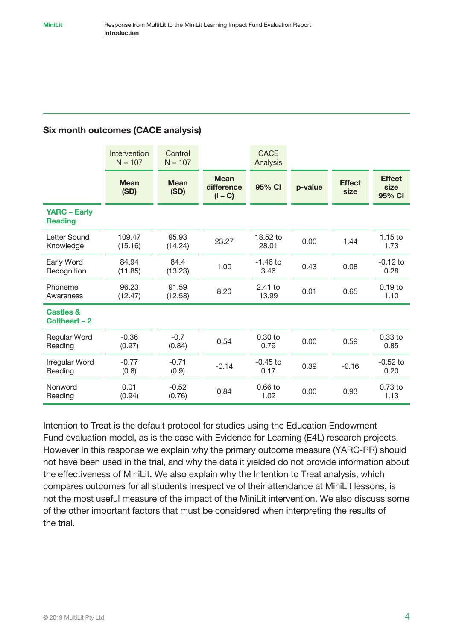#### Six month outcomes (CACE analysis)

|                                       | Intervention<br>$N = 107$ | Control<br>$N = 107$ |                                        | <b>CACE</b><br>Analysis |         |                       |                                 |
|---------------------------------------|---------------------------|----------------------|----------------------------------------|-------------------------|---------|-----------------------|---------------------------------|
|                                       | <b>Mean</b><br>(SD)       | <b>Mean</b><br>(SD)  | <b>Mean</b><br>difference<br>$(I - C)$ | 95% CI                  | p-value | <b>Effect</b><br>size | <b>Effect</b><br>size<br>95% CI |
| <b>YARC - Early</b><br><b>Reading</b> |                           |                      |                                        |                         |         |                       |                                 |
| Letter Sound<br>Knowledge             | 109.47<br>(15.16)         | 95.93<br>(14.24)     | 23.27                                  | 18.52 to<br>28.01       | 0.00    | 1.44                  | $1.15$ to<br>1.73               |
| Early Word<br>Recognition             | 84.94<br>(11.85)          | 84.4<br>(13.23)      | 1.00                                   | $-1.46$ to<br>3.46      | 0.43    | 0.08                  | $-0.12$ to<br>0.28              |
| Phoneme<br>Awareness                  | 96.23<br>(12.47)          | 91.59<br>(12.58)     | 8.20                                   | $2.41$ to<br>13.99      | 0.01    | 0.65                  | $0.19$ to<br>1.10               |
| <b>Castles &amp;</b><br>Coltheart - 2 |                           |                      |                                        |                         |         |                       |                                 |
| Regular Word<br>Reading               | $-0.36$<br>(0.97)         | $-0.7$<br>(0.84)     | 0.54                                   | $0.30$ to<br>0.79       | 0.00    | 0.59                  | $0.33$ to<br>0.85               |
| Irregular Word<br>Reading             | $-0.77$<br>(0.8)          | $-0.71$<br>(0.9)     | $-0.14$                                | $-0.45$ to<br>0.17      | 0.39    | $-0.16$               | $-0.52$ to<br>0.20              |
| Nonword<br>Reading                    | 0.01<br>(0.94)            | $-0.52$<br>(0.76)    | 0.84                                   | $0.66$ to<br>1.02       | 0.00    | 0.93                  | 0.73 to<br>1.13                 |

Intention to Treat is the default protocol for studies using the Education Endowment Fund evaluation model, as is the case with Evidence for Learning (E4L) research projects. However In this response we explain why the primary outcome measure (YARC-PR) should not have been used in the trial, and why the data it yielded do not provide information about the effectiveness of MiniLit. We also explain why the Intention to Treat analysis, which compares outcomes for all students irrespective of their attendance at MiniLit lessons, is not the most useful measure of the impact of the MiniLit intervention. We also discuss some of the other important factors that must be considered when interpreting the results of the trial.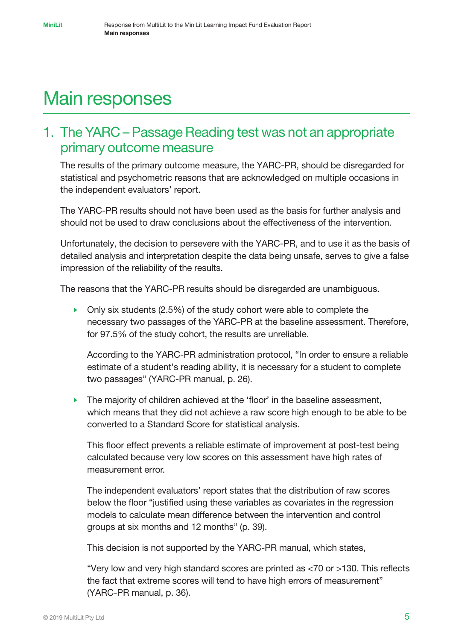# Main responses

## 1. The YARC – Passage Reading test was not an appropriate primary outcome measure

The results of the primary outcome measure, the YARC-PR, should be disregarded for statistical and psychometric reasons that are acknowledged on multiple occasions in the independent evaluators' report.

The YARC-PR results should not have been used as the basis for further analysis and should not be used to draw conclusions about the effectiveness of the intervention.

Unfortunately, the decision to persevere with the YARC-PR, and to use it as the basis of detailed analysis and interpretation despite the data being unsafe, serves to give a false impression of the reliability of the results.

The reasons that the YARC-PR results should be disregarded are unambiguous.

• Only six students  $(2.5\%)$  of the study cohort were able to complete the necessary two passages of the YARC-PR at the baseline assessment. Therefore, for 97.5% of the study cohort, the results are unreliable.

According to the YARC-PR administration protocol, "In order to ensure a reliable estimate of a student's reading ability, it is necessary for a student to complete two passages" (YARC-PR manual, p. 26).

• The majority of children achieved at the 'floor' in the baseline assessment, which means that they did not achieve a raw score high enough to be able to be converted to a Standard Score for statistical analysis.

This floor effect prevents a reliable estimate of improvement at post-test being calculated because very low scores on this assessment have high rates of measurement error.

The independent evaluators' report states that the distribution of raw scores below the floor "justified using these variables as covariates in the regression models to calculate mean difference between the intervention and control groups at six months and 12 months" (p. 39).

This decision is not supported by the YARC-PR manual, which states,

"Very low and very high standard scores are printed as <70 or >130. This reflects the fact that extreme scores will tend to have high errors of measurement" (YARC-PR manual, p. 36).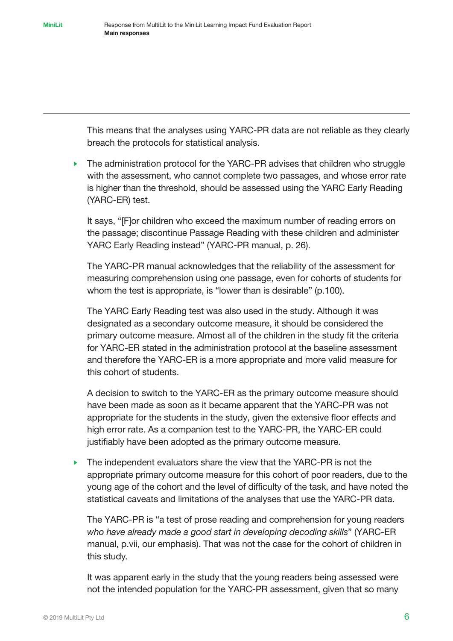This means that the analyses using YARC-PR data are not reliable as they clearly breach the protocols for statistical analysis.

• The administration protocol for the YARC-PR advises that children who struggle with the assessment, who cannot complete two passages, and whose error rate is higher than the threshold, should be assessed using the YARC Early Reading (YARC-ER) test.

It says, "[F]or children who exceed the maximum number of reading errors on the passage; discontinue Passage Reading with these children and administer YARC Early Reading instead" (YARC-PR manual, p. 26).

The YARC-PR manual acknowledges that the reliability of the assessment for measuring comprehension using one passage, even for cohorts of students for whom the test is appropriate, is "lower than is desirable" (p.100).

The YARC Early Reading test was also used in the study. Although it was designated as a secondary outcome measure, it should be considered the primary outcome measure. Almost all of the children in the study fit the criteria for YARC-ER stated in the administration protocol at the baseline assessment and therefore the YARC-ER is a more appropriate and more valid measure for this cohort of students.

A decision to switch to the YARC-ER as the primary outcome measure should have been made as soon as it became apparent that the YARC-PR was not appropriate for the students in the study, given the extensive floor effects and high error rate. As a companion test to the YARC-PR, the YARC-ER could justifiably have been adopted as the primary outcome measure.

• The independent evaluators share the view that the YARC-PR is not the appropriate primary outcome measure for this cohort of poor readers, due to the young age of the cohort and the level of difficulty of the task, and have noted the statistical caveats and limitations of the analyses that use the YARC-PR data.

The YARC-PR is "a test of prose reading and comprehension for young readers *who have already made a good start in developing decoding skills*" (YARC-ER manual, p.vii, our emphasis). That was not the case for the cohort of children in this study.

It was apparent early in the study that the young readers being assessed were not the intended population for the YARC-PR assessment, given that so many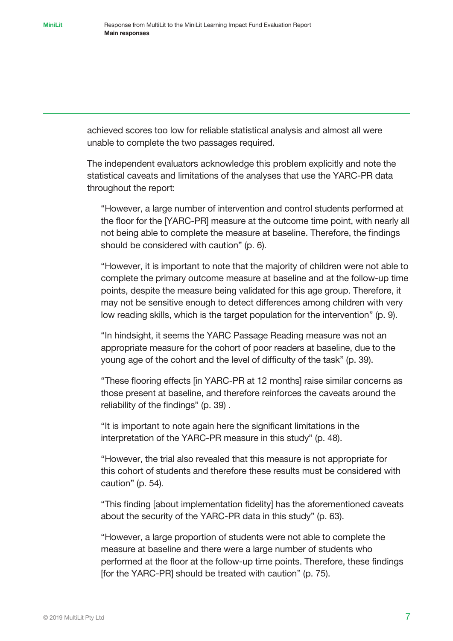achieved scores too low for reliable statistical analysis and almost all were unable to complete the two passages required.

The independent evaluators acknowledge this problem explicitly and note the statistical caveats and limitations of the analyses that use the YARC-PR data throughout the report:

"However, a large number of intervention and control students performed at the floor for the [YARC-PR] measure at the outcome time point, with nearly all not being able to complete the measure at baseline. Therefore, the findings should be considered with caution" (p. 6).

"However, it is important to note that the majority of children were not able to complete the primary outcome measure at baseline and at the follow-up time points, despite the measure being validated for this age group. Therefore, it may not be sensitive enough to detect differences among children with very low reading skills, which is the target population for the intervention" (p. 9).

"In hindsight, it seems the YARC Passage Reading measure was not an appropriate measure for the cohort of poor readers at baseline, due to the young age of the cohort and the level of difficulty of the task" (p. 39).

"These flooring effects [in YARC-PR at 12 months] raise similar concerns as those present at baseline, and therefore reinforces the caveats around the reliability of the findings" (p. 39) .

"It is important to note again here the significant limitations in the interpretation of the YARC-PR measure in this study" (p. 48).

"However, the trial also revealed that this measure is not appropriate for this cohort of students and therefore these results must be considered with caution" (p. 54).

"This finding [about implementation fidelity] has the aforementioned caveats about the security of the YARC-PR data in this study" (p. 63).

"However, a large proportion of students were not able to complete the measure at baseline and there were a large number of students who performed at the floor at the follow-up time points. Therefore, these findings [for the YARC-PR] should be treated with caution" (p. 75).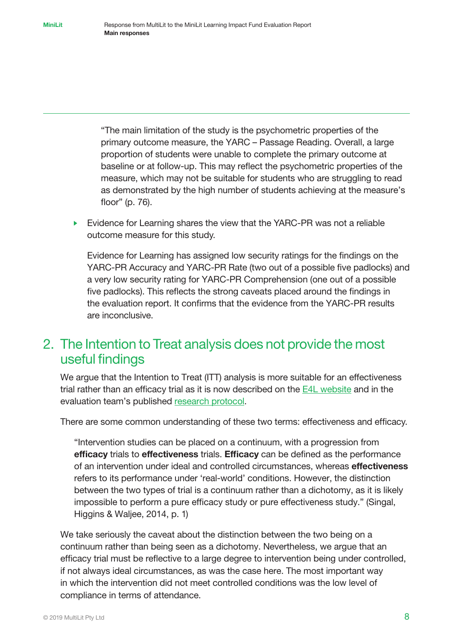"The main limitation of the study is the psychometric properties of the primary outcome measure, the YARC – Passage Reading. Overall, a large proportion of students were unable to complete the primary outcome at baseline or at follow-up. This may reflect the psychometric properties of the measure, which may not be suitable for students who are struggling to read as demonstrated by the high number of students achieving at the measure's floor" (p. 76).

• Evidence for Learning shares the view that the YARC-PR was not a reliable outcome measure for this study.

Evidence for Learning has assigned low security ratings for the findings on the YARC-PR Accuracy and YARC-PR Rate (two out of a possible five padlocks) and a very low security rating for YARC-PR Comprehension (one out of a possible five padlocks). This reflects the strong caveats placed around the findings in the evaluation report. It confirms that the evidence from the YARC-PR results are inconclusive.

### 2. The Intention to Treat analysis does not provide the most useful findings

We argue that the Intention to Treat (ITT) analysis is more suitable for an effectiveness trial rather than an efficacy trial as it is now described on the [E4L website a](https://evidenceforlearning.org.au/lif/our-projects/minilit/)nd in the evaluation team's published [research protocol.](https://evidenceforlearning.org.au/assets/LIF-Protocols-SAP/Final-Evaluation-Protocol-Minilit.pdf)

There are some common understanding of these two terms: effectiveness and efficacy.

"Intervention studies can be placed on a continuum, with a progression from efficacy trials to effectiveness trials. Efficacy can be defined as the performance of an intervention under ideal and controlled circumstances, whereas **effectiveness** refers to its performance under 'real-world' conditions. However, the distinction between the two types of trial is a continuum rather than a dichotomy, as it is likely impossible to perform a pure efficacy study or pure effectiveness study." (Singal, Higgins & Waljee, 2014, p. 1)

We take seriously the caveat about the distinction between the two being on a continuum rather than being seen as a dichotomy. Nevertheless, we argue that an efficacy trial must be reflective to a large degree to intervention being under controlled, if not always ideal circumstances, as was the case here. The most important way in which the intervention did not meet controlled conditions was the low level of compliance in terms of attendance.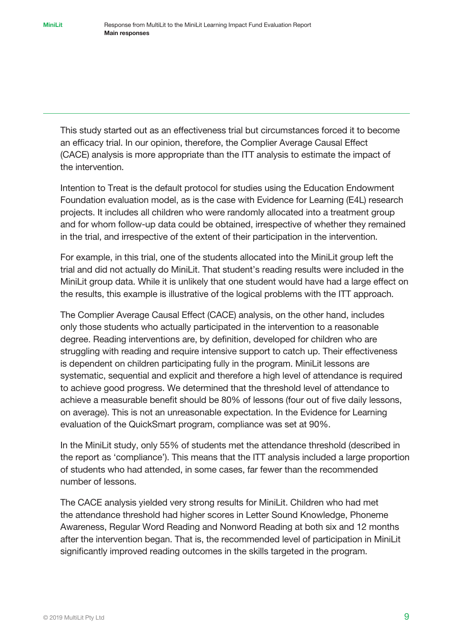This study started out as an effectiveness trial but circumstances forced it to become an efficacy trial. In our opinion, therefore, the Complier Average Causal Effect (CACE) analysis is more appropriate than the ITT analysis to estimate the impact of the intervention.

Intention to Treat is the default protocol for studies using the Education Endowment Foundation evaluation model, as is the case with Evidence for Learning (E4L) research projects. It includes all children who were randomly allocated into a treatment group and for whom follow-up data could be obtained, irrespective of whether they remained in the trial, and irrespective of the extent of their participation in the intervention.

For example, in this trial, one of the students allocated into the MiniLit group left the trial and did not actually do MiniLit. That student's reading results were included in the MiniLit group data. While it is unlikely that one student would have had a large effect on the results, this example is illustrative of the logical problems with the ITT approach.

The Complier Average Causal Effect (CACE) analysis, on the other hand, includes only those students who actually participated in the intervention to a reasonable degree. Reading interventions are, by definition, developed for children who are struggling with reading and require intensive support to catch up. Their effectiveness is dependent on children participating fully in the program. MiniLit lessons are systematic, sequential and explicit and therefore a high level of attendance is required to achieve good progress. We determined that the threshold level of attendance to achieve a measurable benefit should be 80% of lessons (four out of five daily lessons, on average). This is not an unreasonable expectation. In the Evidence for Learning evaluation of the QuickSmart program, compliance was set at 90%.

In the MiniLit study, only 55% of students met the attendance threshold (described in the report as 'compliance'). This means that the ITT analysis included a large proportion of students who had attended, in some cases, far fewer than the recommended number of lessons.

The CACE analysis yielded very strong results for MiniLit. Children who had met the attendance threshold had higher scores in Letter Sound Knowledge, Phoneme Awareness, Regular Word Reading and Nonword Reading at both six and 12 months after the intervention began. That is, the recommended level of participation in MiniLit significantly improved reading outcomes in the skills targeted in the program.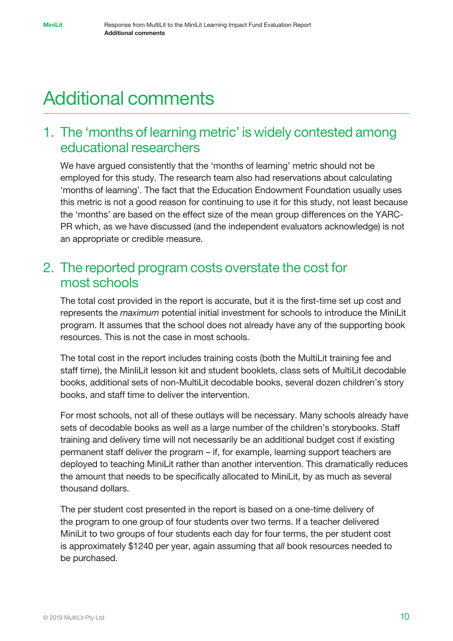# Additional comments

### 1. The 'months of learning metric' is widely contested among educational researchers

We have argued consistently that the 'months of learning' metric should not be employed for this study. The research team also had reservations about calculating 'months of learning'. The fact that the Education Endowment Foundation usually uses this metric is not a good reason for continuing to use it for this study, not least because the 'months' are based on the effect size of the mean group differences on the YARC-PR which, as we have discussed (and the independent evaluators acknowledge) is not an appropriate or credible measure.

#### 2. The reported program costs overstate the cost for most schools

The total cost provided in the report is accurate, but it is the first-time set up cost and represents the *maximum* potential initial investment for schools to introduce the MiniLit program. It assumes that the school does not already have any of the supporting book resources. This is not the case in most schools.

The total cost in the report includes training costs (both the MultiLit training fee and staff time), the MinIiLit lesson kit and student booklets, class sets of MultiLit decodable books, additional sets of non-MultiLit decodable books, several dozen children's story books, and staff time to deliver the intervention.

For most schools, not all of these outlays will be necessary. Many schools already have sets of decodable books as well as a large number of the children's storybooks. Staff training and delivery time will not necessarily be an additional budget cost if existing permanent staff deliver the program – if, for example, learning support teachers are deployed to teaching MiniLit rather than another intervention. This dramatically reduces the amount that needs to be specifically allocated to MiniLit, by as much as several thousand dollars.

The per student cost presented in the report is based on a one-time delivery of the program to one group of four students over two terms. If a teacher delivered MiniLit to two groups of four students each day for four terms, the per student cost is approximately \$1240 per year, again assuming that *all* book resources needed to be purchased.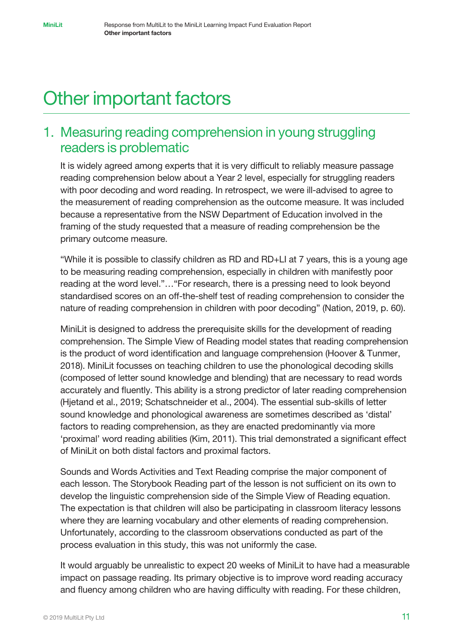# Other important factors

### 1. Measuring reading comprehension in young struggling readers is problematic

It is widely agreed among experts that it is very difficult to reliably measure passage reading comprehension below about a Year 2 level, especially for struggling readers with poor decoding and word reading. In retrospect, we were ill-advised to agree to the measurement of reading comprehension as the outcome measure. It was included because a representative from the NSW Department of Education involved in the framing of the study requested that a measure of reading comprehension be the primary outcome measure.

"While it is possible to classify children as RD and RD+LI at 7 years, this is a young age to be measuring reading comprehension, especially in children with manifestly poor reading at the word level."…"For research, there is a pressing need to look beyond standardised scores on an off-the-shelf test of reading comprehension to consider the nature of reading comprehension in children with poor decoding" (Nation, 2019, p. 60).

MiniLit is designed to address the prerequisite skills for the development of reading comprehension. The Simple View of Reading model states that reading comprehension is the product of word identification and language comprehension (Hoover & Tunmer, 2018). MiniLit focusses on teaching children to use the phonological decoding skills (composed of letter sound knowledge and blending) that are necessary to read words accurately and fluently. This ability is a strong predictor of later reading comprehension (Hjetand et al., 2019; Schatschneider et al., 2004). The essential sub-skills of letter sound knowledge and phonological awareness are sometimes described as 'distal' factors to reading comprehension, as they are enacted predominantly via more 'proximal' word reading abilities (Kim, 2011). This trial demonstrated a significant effect of MiniLit on both distal factors and proximal factors.

Sounds and Words Activities and Text Reading comprise the major component of each lesson. The Storybook Reading part of the lesson is not sufficient on its own to develop the linguistic comprehension side of the Simple View of Reading equation. The expectation is that children will also be participating in classroom literacy lessons where they are learning vocabulary and other elements of reading comprehension. Unfortunately, according to the classroom observations conducted as part of the process evaluation in this study, this was not uniformly the case.

It would arguably be unrealistic to expect 20 weeks of MiniLit to have had a measurable impact on passage reading. Its primary objective is to improve word reading accuracy and fluency among children who are having difficulty with reading. For these children,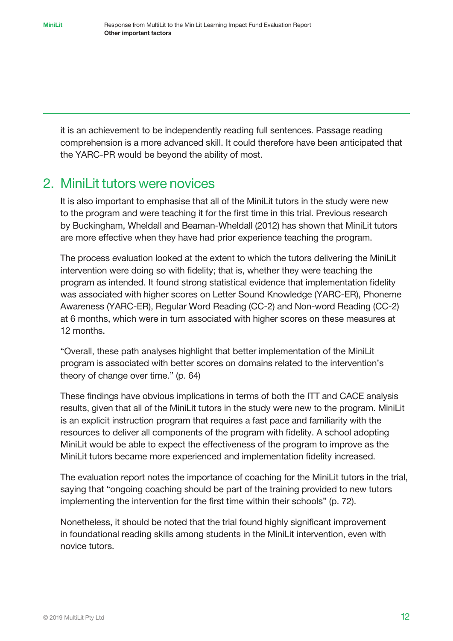it is an achievement to be independently reading full sentences. Passage reading comprehension is a more advanced skill. It could therefore have been anticipated that the YARC-PR would be beyond the ability of most.

#### 2. MiniLit tutors were novices

It is also important to emphasise that all of the MiniLit tutors in the study were new to the program and were teaching it for the first time in this trial. Previous research by Buckingham, Wheldall and Beaman-Wheldall (2012) has shown that MiniLit tutors are more effective when they have had prior experience teaching the program.

The process evaluation looked at the extent to which the tutors delivering the MiniLit intervention were doing so with fidelity; that is, whether they were teaching the program as intended. It found strong statistical evidence that implementation fidelity was associated with higher scores on Letter Sound Knowledge (YARC-ER), Phoneme Awareness (YARC-ER), Regular Word Reading (CC-2) and Non-word Reading (CC-2) at 6 months, which were in turn associated with higher scores on these measures at 12 months.

"Overall, these path analyses highlight that better implementation of the MiniLit program is associated with better scores on domains related to the intervention's theory of change over time." (p. 64)

These findings have obvious implications in terms of both the ITT and CACE analysis results, given that all of the MiniLit tutors in the study were new to the program. MiniLit is an explicit instruction program that requires a fast pace and familiarity with the resources to deliver all components of the program with fidelity. A school adopting MiniLit would be able to expect the effectiveness of the program to improve as the MiniLit tutors became more experienced and implementation fidelity increased.

The evaluation report notes the importance of coaching for the MiniLit tutors in the trial, saying that "ongoing coaching should be part of the training provided to new tutors implementing the intervention for the first time within their schools" (p. 72).

Nonetheless, it should be noted that the trial found highly significant improvement in foundational reading skills among students in the MiniLit intervention, even with novice tutors.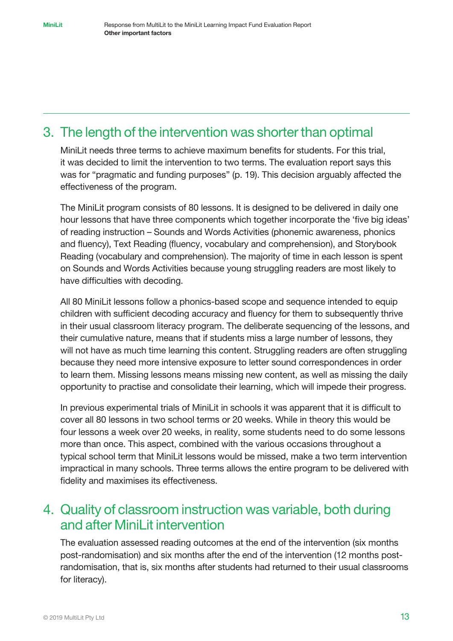### 3. The length of the intervention was shorter than optimal

MiniLit needs three terms to achieve maximum benefits for students. For this trial, it was decided to limit the intervention to two terms. The evaluation report says this was for "pragmatic and funding purposes" (p. 19). This decision arguably affected the effectiveness of the program.

The MiniLit program consists of 80 lessons. It is designed to be delivered in daily one hour lessons that have three components which together incorporate the 'five big ideas' of reading instruction – Sounds and Words Activities (phonemic awareness, phonics and fluency), Text Reading (fluency, vocabulary and comprehension), and Storybook Reading (vocabulary and comprehension). The majority of time in each lesson is spent on Sounds and Words Activities because young struggling readers are most likely to have difficulties with decoding.

All 80 MiniLit lessons follow a phonics-based scope and sequence intended to equip children with sufficient decoding accuracy and fluency for them to subsequently thrive in their usual classroom literacy program. The deliberate sequencing of the lessons, and their cumulative nature, means that if students miss a large number of lessons, they will not have as much time learning this content. Struggling readers are often struggling because they need more intensive exposure to letter sound correspondences in order to learn them. Missing lessons means missing new content, as well as missing the daily opportunity to practise and consolidate their learning, which will impede their progress.

In previous experimental trials of MiniLit in schools it was apparent that it is difficult to cover all 80 lessons in two school terms or 20 weeks. While in theory this would be four lessons a week over 20 weeks, in reality, some students need to do some lessons more than once. This aspect, combined with the various occasions throughout a typical school term that MiniLit lessons would be missed, make a two term intervention impractical in many schools. Three terms allows the entire program to be delivered with fidelity and maximises its effectiveness.

### 4. Quality of classroom instruction was variable, both during and after MiniLit intervention

The evaluation assessed reading outcomes at the end of the intervention (six months post-randomisation) and six months after the end of the intervention (12 months postrandomisation, that is, six months after students had returned to their usual classrooms for literacy).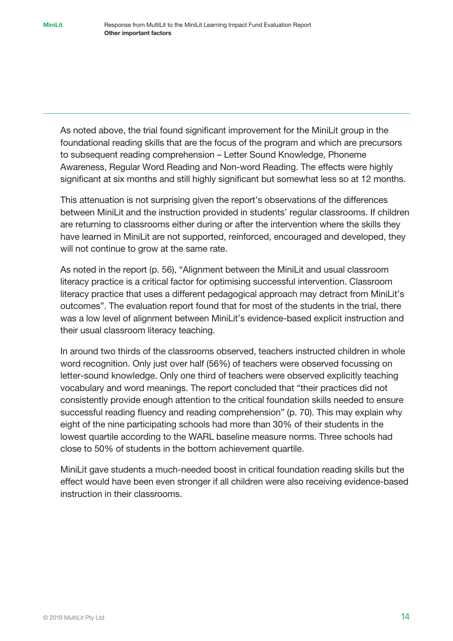As noted above, the trial found significant improvement for the MiniLit group in the foundational reading skills that are the focus of the program and which are precursors to subsequent reading comprehension – Letter Sound Knowledge, Phoneme Awareness, Regular Word Reading and Non-word Reading. The effects were highly significant at six months and still highly significant but somewhat less so at 12 months.

This attenuation is not surprising given the report's observations of the differences between MiniLit and the instruction provided in students' regular classrooms. If children are returning to classrooms either during or after the intervention where the skills they have learned in MiniLit are not supported, reinforced, encouraged and developed, they will not continue to grow at the same rate.

As noted in the report (p. 56), "Alignment between the MiniLit and usual classroom literacy practice is a critical factor for optimising successful intervention. Classroom literacy practice that uses a different pedagogical approach may detract from MiniLit's outcomes". The evaluation report found that for most of the students in the trial, there was a low level of alignment between MiniLit's evidence-based explicit instruction and their usual classroom literacy teaching.

In around two thirds of the classrooms observed, teachers instructed children in whole word recognition. Only just over half (56%) of teachers were observed focussing on letter-sound knowledge. Only one third of teachers were observed explicitly teaching vocabulary and word meanings. The report concluded that "their practices did not consistently provide enough attention to the critical foundation skills needed to ensure successful reading fluency and reading comprehension" (p. 70). This may explain why eight of the nine participating schools had more than 30% of their students in the lowest quartile according to the WARL baseline measure norms. Three schools had close to 50% of students in the bottom achievement quartile.

MiniLit gave students a much-needed boost in critical foundation reading skills but the effect would have been even stronger if all children were also receiving evidence-based instruction in their classrooms.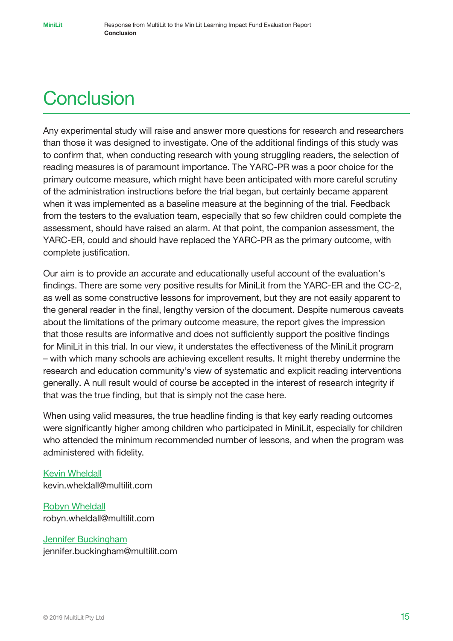# **Conclusion**

Any experimental study will raise and answer more questions for research and researchers than those it was designed to investigate. One of the additional findings of this study was to confirm that, when conducting research with young struggling readers, the selection of reading measures is of paramount importance. The YARC-PR was a poor choice for the primary outcome measure, which might have been anticipated with more careful scrutiny of the administration instructions before the trial began, but certainly became apparent when it was implemented as a baseline measure at the beginning of the trial. Feedback from the testers to the evaluation team, especially that so few children could complete the assessment, should have raised an alarm. At that point, the companion assessment, the YARC-ER, could and should have replaced the YARC-PR as the primary outcome, with complete justification.

Our aim is to provide an accurate and educationally useful account of the evaluation's findings. There are some very positive results for MiniLit from the YARC-ER and the CC-2, as well as some constructive lessons for improvement, but they are not easily apparent to the general reader in the final, lengthy version of the document. Despite numerous caveats about the limitations of the primary outcome measure, the report gives the impression that those results are informative and does not sufficiently support the positive findings for MiniLit in this trial. In our view, it understates the effectiveness of the MiniLit program – with which many schools are achieving excellent results. It might thereby undermine the research and education community's view of systematic and explicit reading interventions generally. A null result would of course be accepted in the interest of research integrity if that was the true finding, but that is simply not the case here.

When using valid measures, the true headline finding is that key early reading outcomes were significantly higher among children who participated in MiniLit, especially for children who attended the minimum recommended number of lessons, and when the program was administered with fidelity.

#### [Kevin Wheldall](https://multilit.com/about/the-founders/professor-kevin-wheldall-am/) kevin.wheldall@multilit.com

[Robyn Wheldall](https://multilit.com/about/the-founders/dr-robyn-wheldall-beaman/) robyn.wheldall@multilit.com

#### [Jennifer Buckingham](https://multilit.com/about/our-expertise/jennifer-buckingham/)

jennifer.buckingham@multilit.com